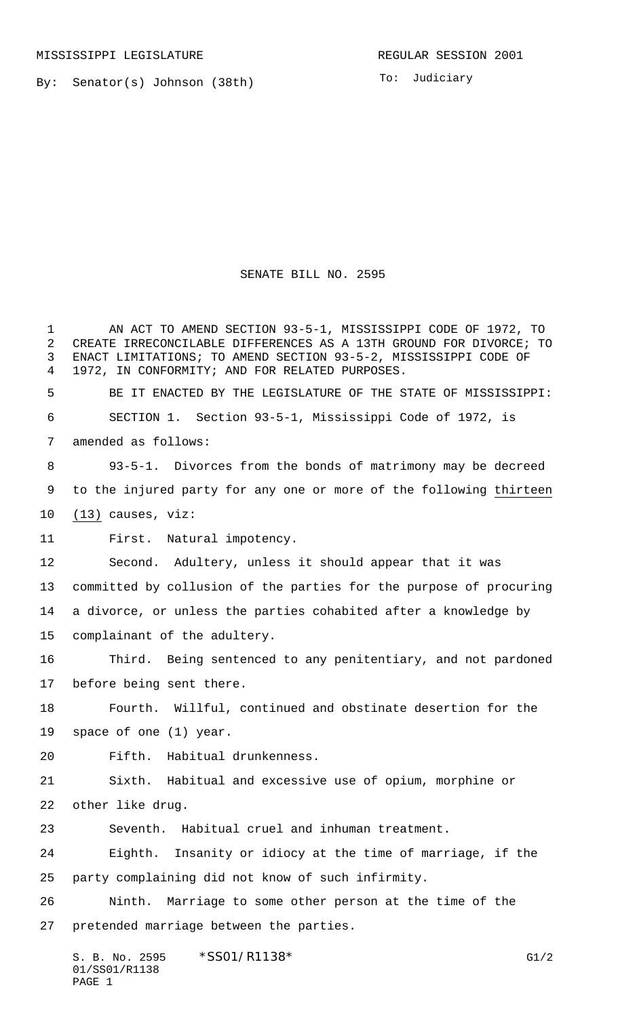By: Senator(s) Johnson (38th)

To: Judiciary

## SENATE BILL NO. 2595

 AN ACT TO AMEND SECTION 93-5-1, MISSISSIPPI CODE OF 1972, TO CREATE IRRECONCILABLE DIFFERENCES AS A 13TH GROUND FOR DIVORCE; TO ENACT LIMITATIONS; TO AMEND SECTION 93-5-2, MISSISSIPPI CODE OF 1972, IN CONFORMITY; AND FOR RELATED PURPOSES. BE IT ENACTED BY THE LEGISLATURE OF THE STATE OF MISSISSIPPI:

 SECTION 1. Section 93-5-1, Mississippi Code of 1972, is amended as follows:

 93-5-1. Divorces from the bonds of matrimony may be decreed to the injured party for any one or more of the following thirteen (13) causes, viz:

First. Natural impotency.

 Second. Adultery, unless it should appear that it was committed by collusion of the parties for the purpose of procuring a divorce, or unless the parties cohabited after a knowledge by complainant of the adultery.

 Third. Being sentenced to any penitentiary, and not pardoned before being sent there.

 Fourth. Willful, continued and obstinate desertion for the space of one (1) year.

Fifth. Habitual drunkenness.

 Sixth. Habitual and excessive use of opium, morphine or other like drug.

Seventh. Habitual cruel and inhuman treatment.

 Eighth. Insanity or idiocy at the time of marriage, if the party complaining did not know of such infirmity.

 Ninth. Marriage to some other person at the time of the pretended marriage between the parties.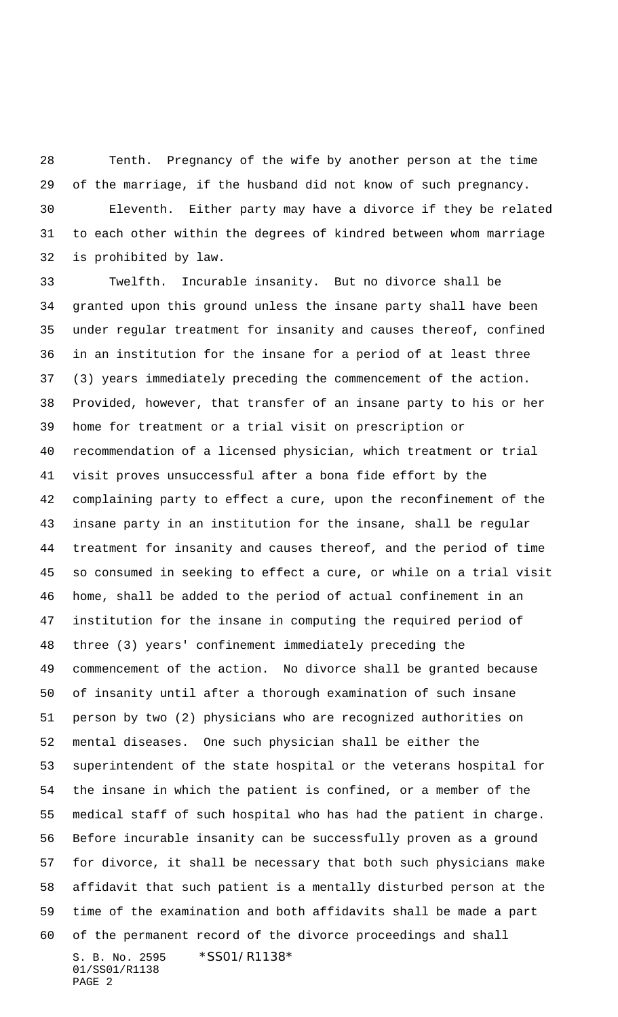Tenth. Pregnancy of the wife by another person at the time of the marriage, if the husband did not know of such pregnancy. Eleventh. Either party may have a divorce if they be related to each other within the degrees of kindred between whom marriage is prohibited by law.

S. B. No. 2595 \*SS01/R1138\* 01/SS01/R1138 Twelfth. Incurable insanity. But no divorce shall be granted upon this ground unless the insane party shall have been under regular treatment for insanity and causes thereof, confined in an institution for the insane for a period of at least three (3) years immediately preceding the commencement of the action. Provided, however, that transfer of an insane party to his or her home for treatment or a trial visit on prescription or recommendation of a licensed physician, which treatment or trial visit proves unsuccessful after a bona fide effort by the complaining party to effect a cure, upon the reconfinement of the insane party in an institution for the insane, shall be regular treatment for insanity and causes thereof, and the period of time so consumed in seeking to effect a cure, or while on a trial visit home, shall be added to the period of actual confinement in an institution for the insane in computing the required period of three (3) years' confinement immediately preceding the commencement of the action. No divorce shall be granted because of insanity until after a thorough examination of such insane person by two (2) physicians who are recognized authorities on mental diseases. One such physician shall be either the superintendent of the state hospital or the veterans hospital for the insane in which the patient is confined, or a member of the medical staff of such hospital who has had the patient in charge. Before incurable insanity can be successfully proven as a ground for divorce, it shall be necessary that both such physicians make affidavit that such patient is a mentally disturbed person at the time of the examination and both affidavits shall be made a part of the permanent record of the divorce proceedings and shall

PAGE 2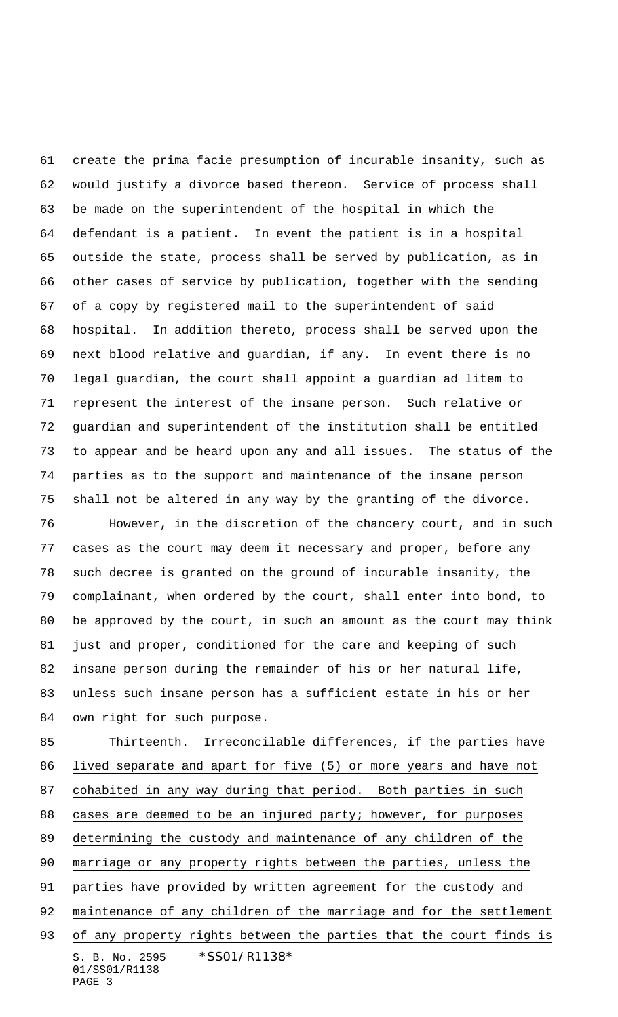create the prima facie presumption of incurable insanity, such as would justify a divorce based thereon. Service of process shall be made on the superintendent of the hospital in which the defendant is a patient. In event the patient is in a hospital outside the state, process shall be served by publication, as in other cases of service by publication, together with the sending of a copy by registered mail to the superintendent of said hospital. In addition thereto, process shall be served upon the next blood relative and guardian, if any. In event there is no legal guardian, the court shall appoint a guardian ad litem to represent the interest of the insane person. Such relative or guardian and superintendent of the institution shall be entitled to appear and be heard upon any and all issues. The status of the parties as to the support and maintenance of the insane person shall not be altered in any way by the granting of the divorce.

 However, in the discretion of the chancery court, and in such cases as the court may deem it necessary and proper, before any such decree is granted on the ground of incurable insanity, the complainant, when ordered by the court, shall enter into bond, to be approved by the court, in such an amount as the court may think just and proper, conditioned for the care and keeping of such insane person during the remainder of his or her natural life, unless such insane person has a sufficient estate in his or her own right for such purpose.

S. B. No. 2595 \*SS01/R1138\* 01/SS01/R1138 PAGE 3 85 Thirteenth. Irreconcilable differences, if the parties have lived separate and apart for five (5) or more years and have not cohabited in any way during that period. Both parties in such 88 cases are deemed to be an injured party; however, for purposes determining the custody and maintenance of any children of the marriage or any property rights between the parties, unless the parties have provided by written agreement for the custody and 92 maintenance of any children of the marriage and for the settlement 93 of any property rights between the parties that the court finds is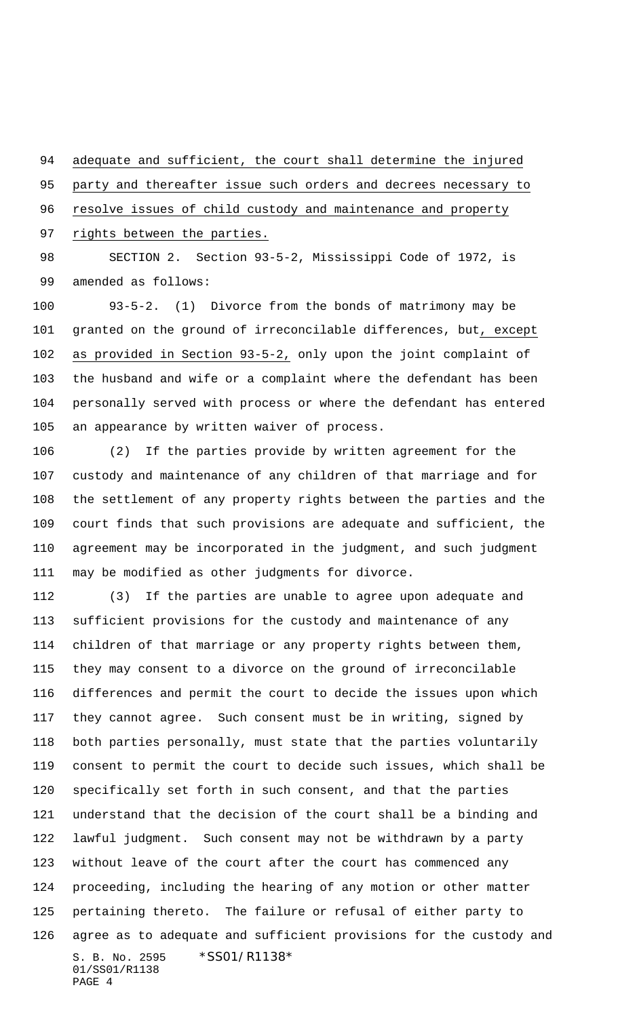adequate and sufficient, the court shall determine the injured

party and thereafter issue such orders and decrees necessary to

resolve issues of child custody and maintenance and property

97 rights between the parties.

 SECTION 2. Section 93-5-2, Mississippi Code of 1972, is amended as follows:

 93-5-2. (1) Divorce from the bonds of matrimony may be granted on the ground of irreconcilable differences, but, except as provided in Section 93-5-2, only upon the joint complaint of the husband and wife or a complaint where the defendant has been personally served with process or where the defendant has entered an appearance by written waiver of process.

 (2) If the parties provide by written agreement for the custody and maintenance of any children of that marriage and for the settlement of any property rights between the parties and the court finds that such provisions are adequate and sufficient, the agreement may be incorporated in the judgment, and such judgment may be modified as other judgments for divorce.

S. B. No. 2595 \*SS01/R1138\* 01/SS01/R1138 PAGE 4 (3) If the parties are unable to agree upon adequate and sufficient provisions for the custody and maintenance of any children of that marriage or any property rights between them, they may consent to a divorce on the ground of irreconcilable differences and permit the court to decide the issues upon which they cannot agree. Such consent must be in writing, signed by both parties personally, must state that the parties voluntarily consent to permit the court to decide such issues, which shall be specifically set forth in such consent, and that the parties understand that the decision of the court shall be a binding and lawful judgment. Such consent may not be withdrawn by a party without leave of the court after the court has commenced any proceeding, including the hearing of any motion or other matter pertaining thereto. The failure or refusal of either party to agree as to adequate and sufficient provisions for the custody and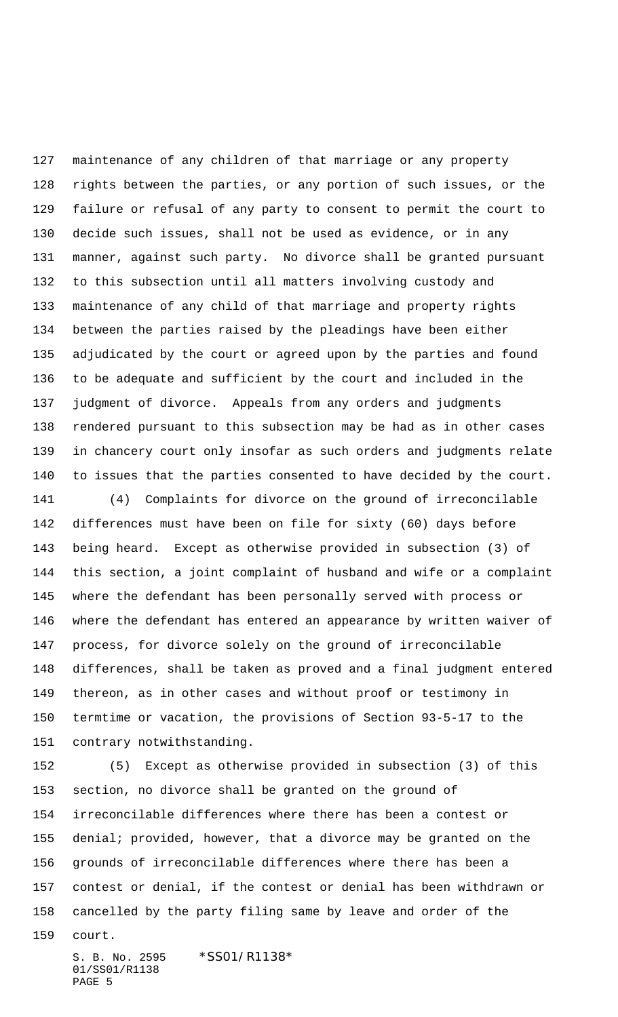maintenance of any children of that marriage or any property rights between the parties, or any portion of such issues, or the failure or refusal of any party to consent to permit the court to decide such issues, shall not be used as evidence, or in any manner, against such party. No divorce shall be granted pursuant to this subsection until all matters involving custody and maintenance of any child of that marriage and property rights between the parties raised by the pleadings have been either adjudicated by the court or agreed upon by the parties and found to be adequate and sufficient by the court and included in the judgment of divorce. Appeals from any orders and judgments rendered pursuant to this subsection may be had as in other cases in chancery court only insofar as such orders and judgments relate to issues that the parties consented to have decided by the court.

 (4) Complaints for divorce on the ground of irreconcilable differences must have been on file for sixty (60) days before being heard. Except as otherwise provided in subsection (3) of this section, a joint complaint of husband and wife or a complaint where the defendant has been personally served with process or where the defendant has entered an appearance by written waiver of process, for divorce solely on the ground of irreconcilable differences, shall be taken as proved and a final judgment entered thereon, as in other cases and without proof or testimony in termtime or vacation, the provisions of Section 93-5-17 to the contrary notwithstanding.

 (5) Except as otherwise provided in subsection (3) of this section, no divorce shall be granted on the ground of irreconcilable differences where there has been a contest or denial; provided, however, that a divorce may be granted on the grounds of irreconcilable differences where there has been a contest or denial, if the contest or denial has been withdrawn or cancelled by the party filing same by leave and order of the

court.

S. B. No. 2595 \*SS01/R1138\* 01/SS01/R1138 PAGE 5